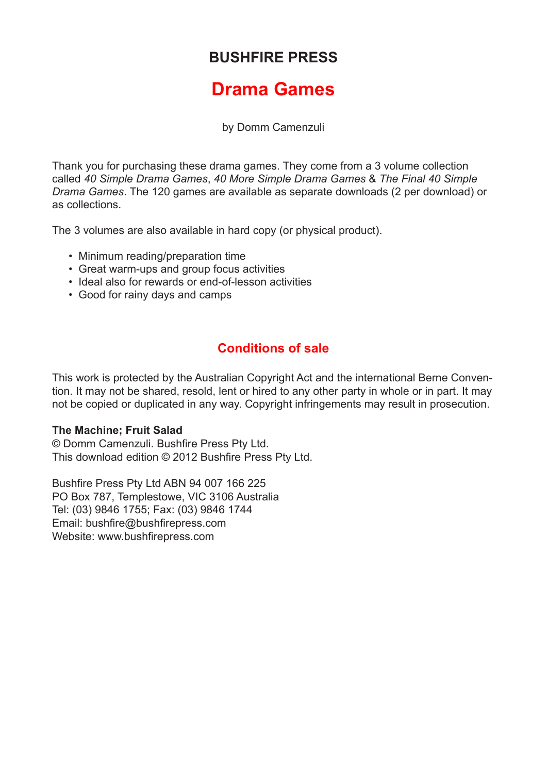### **BUSHFIRE PRESS**

## **Drama Games**

by Domm Camenzuli

Thank you for purchasing these drama games. They come from a 3 volume collection called *40 Simple Drama Games*, *40 More Simple Drama Games* & *The Final 40 Simple Drama Games*. The 120 games are available as separate downloads (2 per download) or as collections.

The 3 volumes are also available in hard copy (or physical product).

- Minimum reading/preparation time
- Great warm-ups and group focus activities
- Ideal also for rewards or end-of-lesson activities
- Good for rainy days and camps

### **Conditions of sale**

This work is protected by the Australian Copyright Act and the international Berne Convention. It may not be shared, resold, lent or hired to any other party in whole or in part. It may not be copied or duplicated in any way. Copyright infringements may result in prosecution.

#### **The Machine; Fruit Salad**

© Domm Camenzuli. Bushfire Press Pty Ltd. This download edition © 2012 Bushfire Press Pty Ltd.

Bushfire Press Pty Ltd ABN 94 007 166 225 PO Box 787, Templestowe, VIC 3106 Australia Tel: (03) 9846 1755; Fax: (03) 9846 1744 Email: bushfire@bushfirepress.com Website: www.bushfirepress.com